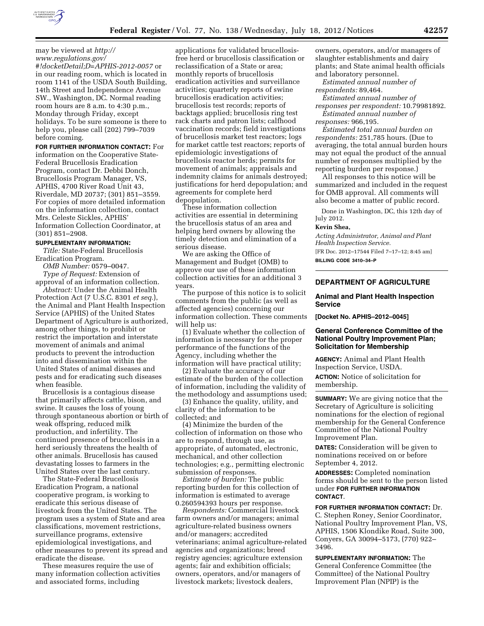may be viewed at *[http://](http://www.regulations.gov/#!docketDetail;D=APHIS-2012-0057)  [www.regulations.gov/](http://www.regulations.gov/#!docketDetail;D=APHIS-2012-0057) [#!docketDetail;D=APHIS-2012-0057](http://www.regulations.gov/#!docketDetail;D=APHIS-2012-0057)* or in our reading room, which is located in room 1141 of the USDA South Building, 14th Street and Independence Avenue SW., Washington, DC. Normal reading room hours are 8 a.m. to 4:30 p.m., Monday through Friday, except holidays. To be sure someone is there to help you, please call (202) 799–7039 before coming.

**FOR FURTHER INFORMATION CONTACT:** For information on the Cooperative State-Federal Brucellosis Eradication Program, contact Dr. Debbi Donch, Brucellosis Program Manager, VS, APHIS, 4700 River Road Unit 43, Riverdale, MD 20737; (301) 851–3559. For copies of more detailed information on the information collection, contact Mrs. Celeste Sickles, APHIS' Information Collection Coordinator, at (301) 851–2908.

# **SUPPLEMENTARY INFORMATION:**

*Title:* State-Federal Brucellosis Eradication Program.

*OMB Number:* 0579–0047. *Type of Request:* Extension of

approval of an information collection. *Abstract:* Under the Animal Health Protection Act (7 U.S.C. 8301 *et seq.*), the Animal and Plant Health Inspection Service (APHIS) of the United States Department of Agriculture is authorized, among other things, to prohibit or restrict the importation and interstate movement of animals and animal products to prevent the introduction into and dissemination within the United States of animal diseases and pests and for eradicating such diseases when feasible.

Brucellosis is a contagious disease that primarily affects cattle, bison, and swine. It causes the loss of young through spontaneous abortion or birth of weak offspring, reduced milk production, and infertility. The continued presence of brucellosis in a herd seriously threatens the health of other animals. Brucellosis has caused devastating losses to farmers in the United States over the last century.

The State-Federal Brucellosis Eradication Program, a national cooperative program, is working to eradicate this serious disease of livestock from the United States. The program uses a system of State and area classifications, movement restrictions, surveillance programs, extensive epidemiological investigations, and other measures to prevent its spread and eradicate the disease.

These measures require the use of many information collection activities and associated forms, including

applications for validated brucellosisfree herd or brucellosis classification or reclassification of a State or area; monthly reports of brucellosis eradication activities and surveillance activities; quarterly reports of swine brucellosis eradication activities; brucellosis test records; reports of backtags applied; brucellosis ring test rack charts and patron lists; calfhood vaccination records; field investigations of brucellosis market test reactors; logs for market cattle test reactors; reports of epidemiologic investigations of brucellosis reactor herds; permits for movement of animals; appraisals and indemnity claims for animals destroyed; justifications for herd depopulation; and agreements for complete herd depopulation.

These information collection activities are essential in determining the brucellosis status of an area and helping herd owners by allowing the timely detection and elimination of a serious disease.

We are asking the Office of Management and Budget (OMB) to approve our use of these information collection activities for an additional 3 years.

The purpose of this notice is to solicit comments from the public (as well as affected agencies) concerning our information collection. These comments will help us:

(1) Evaluate whether the collection of information is necessary for the proper performance of the functions of the Agency, including whether the information will have practical utility;

(2) Evaluate the accuracy of our estimate of the burden of the collection of information, including the validity of the methodology and assumptions used;

(3) Enhance the quality, utility, and clarity of the information to be collected; and

(4) Minimize the burden of the collection of information on those who are to respond, through use, as appropriate, of automated, electronic, mechanical, and other collection technologies; e.g., permitting electronic submission of responses.

*Estimate of burden:* The public reporting burden for this collection of information is estimated to average 0.260594393 hours per response.

*Respondents:* Commercial livestock farm owners and/or managers; animal agriculture-related business owners and/or managers; accredited veterinarians; animal agriculture-related agencies and organizations; breed registry agencies; agriculture extension agents; fair and exhibition officials; owners, operators, and/or managers of livestock markets; livestock dealers,

owners, operators, and/or managers of slaughter establishments and dairy plants; and State animal health officials and laboratory personnel.

*Estimated annual number of respondents:* 89,464.

*Estimated annual number of* 

*responses per respondent:* 10.79981892. *Estimated annual number of* 

*responses:* 966,195.

*Estimated total annual burden on respondents:* 251,785 hours. (Due to averaging, the total annual burden hours may not equal the product of the annual number of responses multiplied by the reporting burden per response.)

All responses to this notice will be summarized and included in the request for OMB approval. All comments will also become a matter of public record.

Done in Washington, DC, this 12th day of July 2012.

### **Kevin Shea,**

*Acting Administrator, Animal and Plant Health Inspection Service.* 

[FR Doc. 2012–17544 Filed 7–17–12; 8:45 am] **BILLING CODE 3410–34–P** 

# **DEPARTMENT OF AGRICULTURE**

### **Animal and Plant Health Inspection Service**

**[Docket No. APHIS–2012–0045]** 

# **General Conference Committee of the National Poultry Improvement Plan; Solicitation for Membership**

**AGENCY:** Animal and Plant Health Inspection Service, USDA. **ACTION:** Notice of solicitation for membership.

**SUMMARY:** We are giving notice that the Secretary of Agriculture is soliciting nominations for the election of regional membership for the General Conference Committee of the National Poultry Improvement Plan.

**DATES:** Consideration will be given to nominations received on or before September 4, 2012.

**ADDRESSES:** Completed nomination forms should be sent to the person listed under **FOR FURTHER INFORMATION CONTACT**.

**FOR FURTHER INFORMATION CONTACT:** Dr. C. Stephen Roney, Senior Coordinator, National Poultry Improvement Plan, VS, APHIS, 1506 Klondike Road, Suite 300, Conyers, GA 30094–5173, (770) 922– 3496.

**SUPPLEMENTARY INFORMATION:** The General Conference Committee (the Committee) of the National Poultry Improvement Plan (NPIP) is the